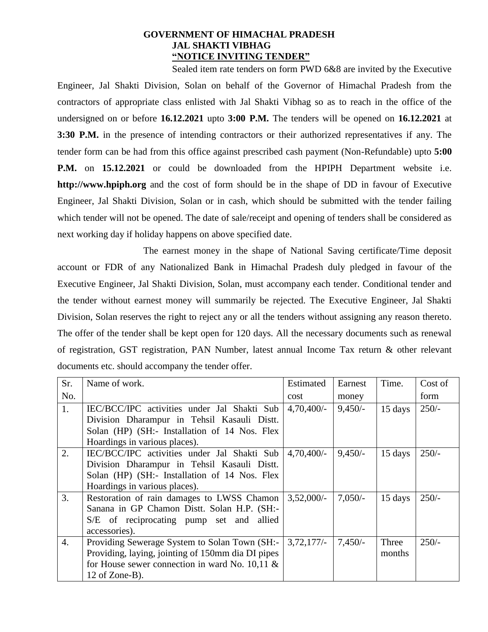## **GOVERNMENT OF HIMACHAL PRADESH JAL SHAKTI VIBHAG "NOTICE INVITING TENDER"**

Sealed item rate tenders on form PWD 6&8 are invited by the Executive Engineer, Jal Shakti Division, Solan on behalf of the Governor of Himachal Pradesh from the contractors of appropriate class enlisted with Jal Shakti Vibhag so as to reach in the office of the undersigned on or before **16.12.2021** upto **3:00 P.M.** The tenders will be opened on **16.12.2021** at **3:30 P.M.** in the presence of intending contractors or their authorized representatives if any. The tender form can be had from this office against prescribed cash payment (Non-Refundable) upto **5:00 P.M.** on **15.12.2021** or could be downloaded from the HPIPH Department website i.e. **http://www.hpiph.org** and the cost of form should be in the shape of DD in favour of Executive Engineer, Jal Shakti Division, Solan or in cash, which should be submitted with the tender failing which tender will not be opened. The date of sale/receipt and opening of tenders shall be considered as next working day if holiday happens on above specified date.

The earnest money in the shape of National Saving certificate/Time deposit account or FDR of any Nationalized Bank in Himachal Pradesh duly pledged in favour of the Executive Engineer, Jal Shakti Division, Solan, must accompany each tender. Conditional tender and the tender without earnest money will summarily be rejected. The Executive Engineer, Jal Shakti Division, Solan reserves the right to reject any or all the tenders without assigning any reason thereto. The offer of the tender shall be kept open for 120 days. All the necessary documents such as renewal of registration, GST registration, PAN Number, latest annual Income Tax return & other relevant documents etc. should accompany the tender offer.

| Sr.              | Name of work.                                     | Estimated    | Earnest   | Time.   | Cost of |
|------------------|---------------------------------------------------|--------------|-----------|---------|---------|
| No.              |                                                   | cost         | money     |         | form    |
| 1.               | IEC/BCC/IPC activities under Jal Shakti Sub       | 4,70,400/    | $9,450/-$ | 15 days | $250/-$ |
|                  | Division Dharampur in Tehsil Kasauli Distt.       |              |           |         |         |
|                  | Solan (HP) (SH:- Installation of 14 Nos. Flex     |              |           |         |         |
|                  | Hoardings in various places).                     |              |           |         |         |
| 2.               | IEC/BCC/IPC activities under Jal Shakti Sub       | 4,70,400/    | $9,450/-$ | 15 days | $250/-$ |
|                  | Division Dharampur in Tehsil Kasauli Distt.       |              |           |         |         |
|                  | Solan (HP) (SH:- Installation of 14 Nos. Flex     |              |           |         |         |
|                  | Hoardings in various places).                     |              |           |         |         |
| 3.               | Restoration of rain damages to LWSS Chamon        | $3,52,000/-$ | $7,050/-$ | 15 days | $250/-$ |
|                  | Sanana in GP Chamon Distt. Solan H.P. (SH:-       |              |           |         |         |
|                  | S/E of reciprocating pump set and allied          |              |           |         |         |
|                  | accessories).                                     |              |           |         |         |
| $\overline{4}$ . | Providing Sewerage System to Solan Town (SH:-     | 3,72,177/    | $7,450/-$ | Three   | $250/-$ |
|                  | Providing, laying, jointing of 150mm dia DI pipes |              |           | months  |         |
|                  | for House sewer connection in ward No. 10,11 $\&$ |              |           |         |         |
|                  | 12 of Zone-B).                                    |              |           |         |         |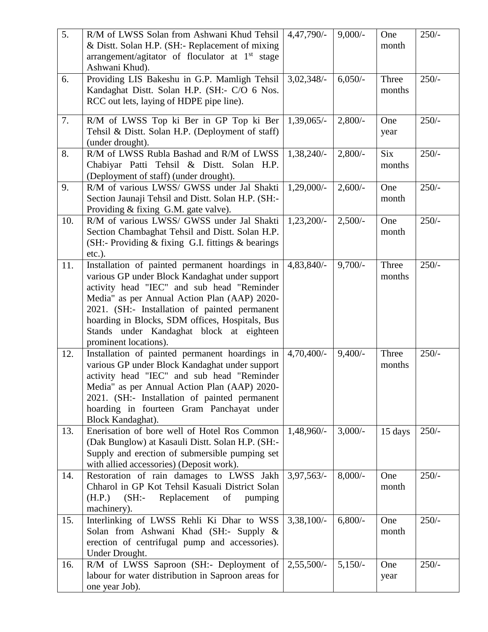| $\overline{5}$ . | R/M of LWSS Solan from Ashwani Khud Tehsil<br>& Distt. Solan H.P. (SH:- Replacement of mixing<br>arrangement/agitator of floculator at 1 <sup>st</sup> stage<br>Ashwani Khud).                                                                                                                                                                                          | $4,47,790/-$  | $9,000/-$  | One<br>month         | $250/-$ |
|------------------|-------------------------------------------------------------------------------------------------------------------------------------------------------------------------------------------------------------------------------------------------------------------------------------------------------------------------------------------------------------------------|---------------|------------|----------------------|---------|
| 6.               | Providing LIS Bakeshu in G.P. Mamligh Tehsil<br>Kandaghat Distt. Solan H.P. (SH:- C/O 6 Nos.<br>RCC out lets, laying of HDPE pipe line).                                                                                                                                                                                                                                | $3,02,348/-$  | $6,050/-$  | Three<br>months      | $250/-$ |
| 7.               | R/M of LWSS Top ki Ber in GP Top ki Ber<br>Tehsil & Distt. Solan H.P. (Deployment of staff)<br>(under drought).                                                                                                                                                                                                                                                         | $1,39,065/-$  | $2,800/-$  | One<br>year          | $250/-$ |
| 8.               | R/M of LWSS Rubla Bashad and R/M of LWSS<br>Chabiyar Patti Tehsil & Distt. Solan H.P.<br>(Deployment of staff) (under drought).                                                                                                                                                                                                                                         | $1,38,240/-$  | $2,800/$ - | <b>Six</b><br>months | $250/-$ |
| 9.               | R/M of various LWSS/ GWSS under Jal Shakti<br>Section Jaunaji Tehsil and Distt. Solan H.P. (SH:-<br>Providing & fixing G.M. gate valve).                                                                                                                                                                                                                                | $1,29,000/-$  | $2,600/-$  | One<br>month         | $250/-$ |
| 10.              | R/M of various LWSS/ GWSS under Jal Shakti<br>Section Chambaghat Tehsil and Distt. Solan H.P.<br>(SH:- Providing $&$ fixing G.I. fittings $&$ bearings<br>$etc.$ ).                                                                                                                                                                                                     | $1,23,200/-$  | $2,500/-$  | One<br>month         | $250/-$ |
| 11.              | Installation of painted permanent hoardings in<br>various GP under Block Kandaghat under support<br>activity head "IEC" and sub head "Reminder<br>Media" as per Annual Action Plan (AAP) 2020-<br>2021. (SH:- Installation of painted permanent<br>hoarding in Blocks, SDM offices, Hospitals, Bus<br>Stands under Kandaghat block at eighteen<br>prominent locations). | 4,83,840/-    | $9,700/-$  | Three<br>months      | $250/-$ |
| 12.              | Installation of painted permanent hoardings in<br>various GP under Block Kandaghat under support<br>activity head "IEC" and sub head "Reminder<br>Media" as per Annual Action Plan (AAP) 2020-<br>2021. (SH:- Installation of painted permanent<br>hoarding in fourteen Gram Panchayat under<br>Block Kandaghat).                                                       | $4,70,400/$ - | $9,400/-$  | Three<br>months      | $250/-$ |
| 13.              | Enerisation of bore well of Hotel Ros Common<br>(Dak Bunglow) at Kasauli Distt. Solan H.P. (SH:-<br>Supply and erection of submersible pumping set<br>with allied accessories) (Deposit work).                                                                                                                                                                          | 1,48,960/-    | $3,000/-$  | 15 days              | $250/-$ |
| 14.              | Restoration of rain damages to LWSS Jakh<br>Chharol in GP Kot Tehsil Kasuali District Solan<br>$(SH$ :-<br>(H.P.)<br>Replacement<br>of<br>pumping<br>machinery).                                                                                                                                                                                                        | 3,97,563/     | $8,000/-$  | One<br>month         | $250/-$ |
| 15.              | Interlinking of LWSS Rehli Ki Dhar to WSS<br>Solan from Ashwani Khad (SH:- Supply &<br>erection of centrifugal pump and accessories).<br>Under Drought.                                                                                                                                                                                                                 | $3,38,100/-$  | $6,800/-$  | One<br>month         | $250/-$ |
| 16.              | R/M of LWSS Saproon (SH:- Deployment of<br>labour for water distribution in Saproon areas for<br>one year Job).                                                                                                                                                                                                                                                         | $2,55,500/-$  | $5,150/-$  | One<br>year          | $250/-$ |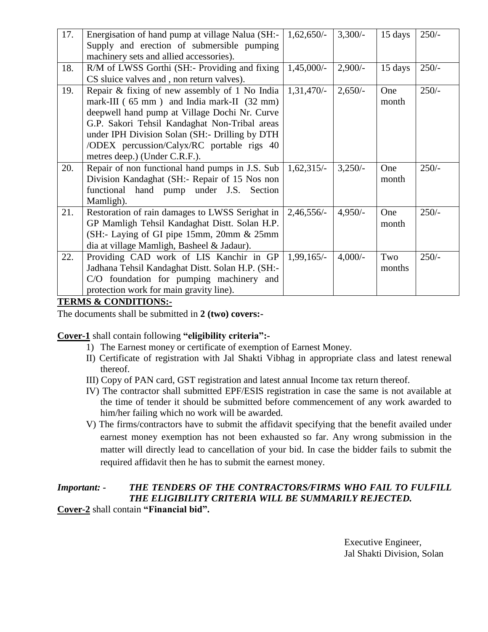| 17. | Energisation of hand pump at village Nalua (SH:-                                    | $1,62,650/-$ | $3,300/-$ | 15 days | $250/-$ |
|-----|-------------------------------------------------------------------------------------|--------------|-----------|---------|---------|
|     | Supply and erection of submersible pumping                                          |              |           |         |         |
|     | machinery sets and allied accessories).                                             |              |           |         |         |
| 18. | R/M of LWSS Gorthi (SH:- Providing and fixing                                       | $1,45,000/-$ | $2,900/-$ | 15 days | $250/-$ |
|     | CS sluice valves and, non return valves).                                           |              |           |         |         |
| 19. | Repair & fixing of new assembly of 1 No India                                       | $1,31,470/-$ | $2,650/-$ | One     | $250/-$ |
|     | mark-III ( $65 \text{ mm}$ ) and India mark-II ( $32 \text{ mm}$ )                  |              |           | month   |         |
|     | deepwell hand pump at Village Dochi Nr. Curve                                       |              |           |         |         |
|     | G.P. Sakori Tehsil Kandaghat Non-Tribal areas                                       |              |           |         |         |
|     | under IPH Division Solan (SH: - Drilling by DTH                                     |              |           |         |         |
|     | /ODEX percussion/Calyx/RC portable rigs 40                                          |              |           |         |         |
|     | metres deep.) (Under C.R.F.).                                                       |              |           |         |         |
| 20. | Repair of non functional hand pumps in J.S. Sub                                     | $1,62,315/-$ | $3,250/-$ | One     | $250/-$ |
|     | Division Kandaghat (SH:- Repair of 15 Nos non                                       |              |           | month   |         |
|     | functional hand pump under J.S. Section                                             |              |           |         |         |
|     | Mamligh).                                                                           |              |           |         |         |
| 21. | Restoration of rain damages to LWSS Serighat in                                     | $2,46,556/-$ | $4,950/-$ | One     | $250/-$ |
|     | GP Mamligh Tehsil Kandaghat Distt. Solan H.P.                                       |              |           | month   |         |
|     |                                                                                     |              |           |         |         |
|     | (SH:- Laying of GI pipe 15mm, 20mm & 25mm                                           |              |           |         |         |
|     | dia at village Mamligh, Basheel & Jadaur).                                          |              |           |         |         |
| 22. | Providing CAD work of LIS Kanchir in GP                                             | $1,99,165/-$ | $4,000/-$ | Two     | $250/-$ |
|     | Jadhana Tehsil Kandaghat Distt. Solan H.P. (SH:-                                    |              |           | months  |         |
|     | C/O foundation for pumping machinery and<br>protection work for main gravity line). |              |           |         |         |

**TERMS & CONDITIONS:-**

The documents shall be submitted in **2 (two) covers:-**

**Cover-1** shall contain following **"eligibility criteria":-**

- 1) The Earnest money or certificate of exemption of Earnest Money.
- II) Certificate of registration with Jal Shakti Vibhag in appropriate class and latest renewal thereof.
- III) Copy of PAN card, GST registration and latest annual Income tax return thereof.
- IV) The contractor shall submitted EPF/ESIS registration in case the same is not available at the time of tender it should be submitted before commencement of any work awarded to him/her failing which no work will be awarded.
- V) The firms/contractors have to submit the affidavit specifying that the benefit availed under earnest money exemption has not been exhausted so far. Any wrong submission in the matter will directly lead to cancellation of your bid. In case the bidder fails to submit the required affidavit then he has to submit the earnest money.

## *Important: - THE TENDERS OF THE CONTRACTORS/FIRMS WHO FAIL TO FULFILL THE ELIGIBILITY CRITERIA WILL BE SUMMARILY REJECTED.* **Cover-2** shall contain **"Financial bid".**

Executive Engineer, Jal Shakti Division, Solan